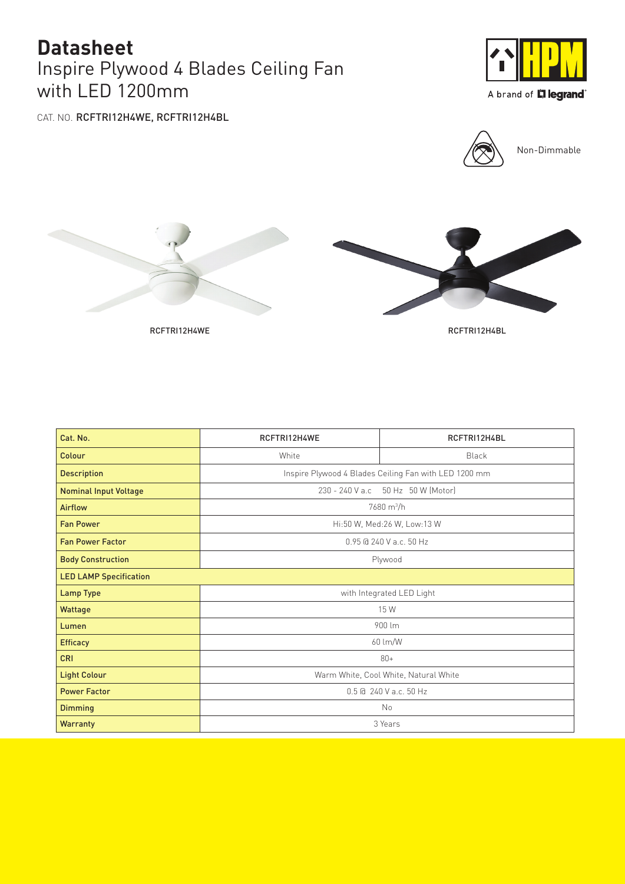## Inspire Plywood 4 Blades Ceiling Fan with LED 1200mm **Datasheet**



A brand of **L'ilegrand**®

CAT. NO. RCFTRI12H4WE, RCFTRI12H4BL







| Cat. No.                      | RCFTRI12H4WE                                          | RCFTRI12H4BL |  |
|-------------------------------|-------------------------------------------------------|--------------|--|
| Colour                        | White                                                 | Black        |  |
| <b>Description</b>            | Inspire Plywood 4 Blades Ceiling Fan with LED 1200 mm |              |  |
| <b>Nominal Input Voltage</b>  | 230 - 240 V a.c 50 Hz 50 W (Motor)                    |              |  |
| <b>Airflow</b>                | 7680 m <sup>3</sup> /h                                |              |  |
| <b>Fan Power</b>              | Hi:50 W, Med:26 W, Low:13 W                           |              |  |
| <b>Fan Power Factor</b>       | 0.95 @ 240 V a.c. 50 Hz                               |              |  |
| <b>Body Construction</b>      | Plywood                                               |              |  |
| <b>LED LAMP Specification</b> |                                                       |              |  |
| <b>Lamp Type</b>              | with Integrated LED Light                             |              |  |
| Wattage                       | 15 W                                                  |              |  |
| Lumen                         | 900 lm                                                |              |  |
| <b>Efficacy</b>               | 60 lm/W                                               |              |  |
| <b>CRI</b>                    | $80+$                                                 |              |  |
| <b>Light Colour</b>           | Warm White, Cool White, Natural White                 |              |  |
| <b>Power Factor</b>           | 0.5 @ 240 V a.c. 50 Hz                                |              |  |
| <b>Dimming</b>                | No                                                    |              |  |
| <b>Warranty</b>               | 3 Years                                               |              |  |